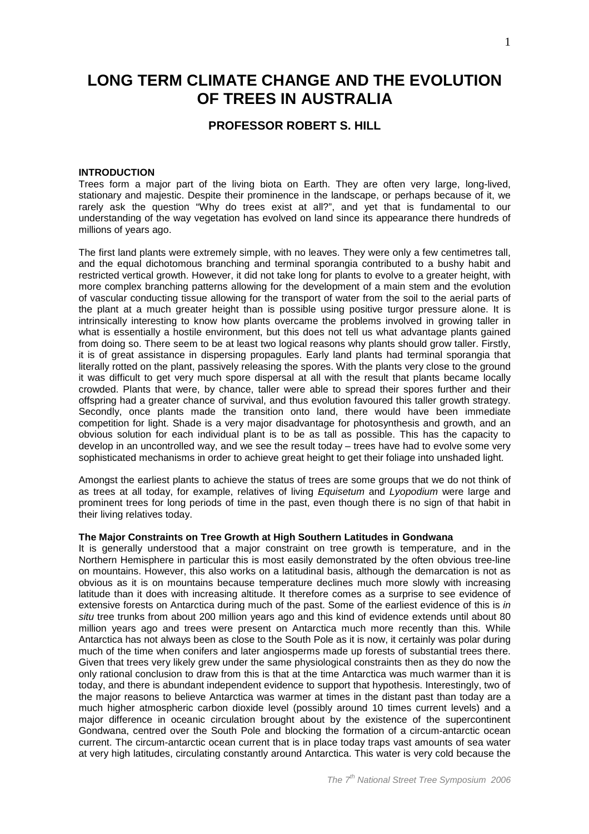# **LONG TERM CLIMATE CHANGE AND THE EVOLUTION OF TREES IN AUSTRALIA**

## **PROFESSOR ROBERT S. HILL**

#### **INTRODUCTION**

Trees form a major part of the living biota on Earth. They are often very large, long-lived, stationary and majestic. Despite their prominence in the landscape, or perhaps because of it, we rarely ask the question "Why do trees exist at all?", and yet that is fundamental to our understanding of the way vegetation has evolved on land since its appearance there hundreds of millions of years ago.

The first land plants were extremely simple, with no leaves. They were only a few centimetres tall, and the equal dichotomous branching and terminal sporangia contributed to a bushy habit and restricted vertical growth. However, it did not take long for plants to evolve to a greater height, with more complex branching patterns allowing for the development of a main stem and the evolution of vascular conducting tissue allowing for the transport of water from the soil to the aerial parts of the plant at a much greater height than is possible using positive turgor pressure alone. It is intrinsically interesting to know how plants overcame the problems involved in growing taller in what is essentially a hostile environment, but this does not tell us what advantage plants gained from doing so. There seem to be at least two logical reasons why plants should grow taller. Firstly, it is of great assistance in dispersing propagules. Early land plants had terminal sporangia that literally rotted on the plant, passively releasing the spores. With the plants very close to the ground it was difficult to get very much spore dispersal at all with the result that plants became locally crowded. Plants that were, by chance, taller were able to spread their spores further and their offspring had a greater chance of survival, and thus evolution favoured this taller growth strategy. Secondly, once plants made the transition onto land, there would have been immediate competition for light. Shade is a very major disadvantage for photosynthesis and growth, and an obvious solution for each individual plant is to be as tall as possible. This has the capacity to develop in an uncontrolled way, and we see the result today – trees have had to evolve some very sophisticated mechanisms in order to achieve great height to get their foliage into unshaded light.

Amongst the earliest plants to achieve the status of trees are some groups that we do not think of as trees at all today, for example, relatives of living Equisetum and Lyopodium were large and prominent trees for long periods of time in the past, even though there is no sign of that habit in their living relatives today.

### **The Major Constraints on Tree Growth at High Southern Latitudes in Gondwana**

It is generally understood that a major constraint on tree growth is temperature, and in the Northern Hemisphere in particular this is most easily demonstrated by the often obvious tree-line on mountains. However, this also works on a latitudinal basis, although the demarcation is not as obvious as it is on mountains because temperature declines much more slowly with increasing latitude than it does with increasing altitude. It therefore comes as a surprise to see evidence of extensive forests on Antarctica during much of the past. Some of the earliest evidence of this is in situ tree trunks from about 200 million years ago and this kind of evidence extends until about 80 million years ago and trees were present on Antarctica much more recently than this. While Antarctica has not always been as close to the South Pole as it is now, it certainly was polar during much of the time when conifers and later angiosperms made up forests of substantial trees there. Given that trees very likely grew under the same physiological constraints then as they do now the only rational conclusion to draw from this is that at the time Antarctica was much warmer than it is today, and there is abundant independent evidence to support that hypothesis. Interestingly, two of the major reasons to believe Antarctica was warmer at times in the distant past than today are a much higher atmospheric carbon dioxide level (possibly around 10 times current levels) and a major difference in oceanic circulation brought about by the existence of the supercontinent Gondwana, centred over the South Pole and blocking the formation of a circum-antarctic ocean current. The circum-antarctic ocean current that is in place today traps vast amounts of sea water at very high latitudes, circulating constantly around Antarctica. This water is very cold because the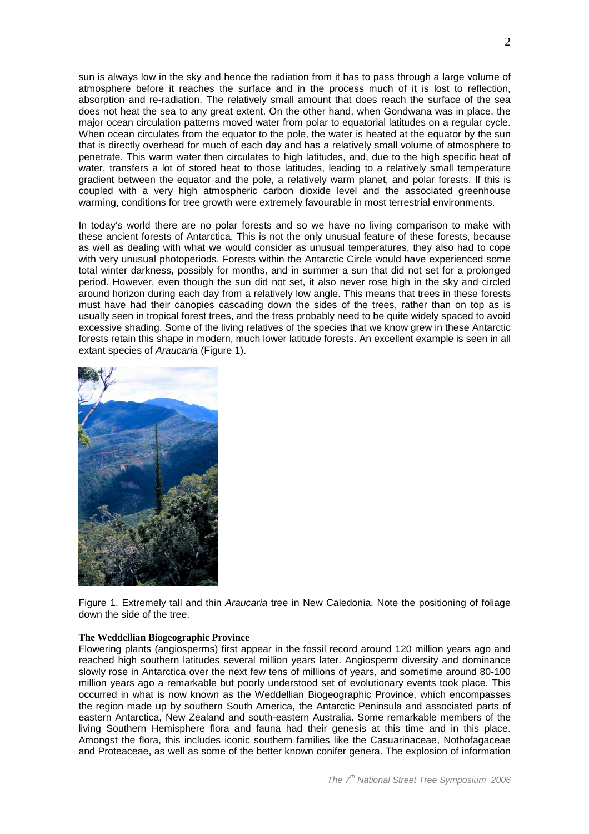sun is always low in the sky and hence the radiation from it has to pass through a large volume of atmosphere before it reaches the surface and in the process much of it is lost to reflection, absorption and re-radiation. The relatively small amount that does reach the surface of the sea does not heat the sea to any great extent. On the other hand, when Gondwana was in place, the major ocean circulation patterns moved water from polar to equatorial latitudes on a regular cycle. When ocean circulates from the equator to the pole, the water is heated at the equator by the sun that is directly overhead for much of each day and has a relatively small volume of atmosphere to penetrate. This warm water then circulates to high latitudes, and, due to the high specific heat of water, transfers a lot of stored heat to those latitudes, leading to a relatively small temperature gradient between the equator and the pole, a relatively warm planet, and polar forests. If this is coupled with a very high atmospheric carbon dioxide level and the associated greenhouse warming, conditions for tree growth were extremely favourable in most terrestrial environments.

In today's world there are no polar forests and so we have no living comparison to make with these ancient forests of Antarctica. This is not the only unusual feature of these forests, because as well as dealing with what we would consider as unusual temperatures, they also had to cope with very unusual photoperiods. Forests within the Antarctic Circle would have experienced some total winter darkness, possibly for months, and in summer a sun that did not set for a prolonged period. However, even though the sun did not set, it also never rose high in the sky and circled around horizon during each day from a relatively low angle. This means that trees in these forests must have had their canopies cascading down the sides of the trees, rather than on top as is usually seen in tropical forest trees, and the tress probably need to be quite widely spaced to avoid excessive shading. Some of the living relatives of the species that we know grew in these Antarctic forests retain this shape in modern, much lower latitude forests. An excellent example is seen in all extant species of Araucaria (Figure 1).



Figure 1. Extremely tall and thin Araucaria tree in New Caledonia. Note the positioning of foliage down the side of the tree.

#### **The Weddellian Biogeographic Province**

Flowering plants (angiosperms) first appear in the fossil record around 120 million years ago and reached high southern latitudes several million years later. Angiosperm diversity and dominance slowly rose in Antarctica over the next few tens of millions of years, and sometime around 80-100 million years ago a remarkable but poorly understood set of evolutionary events took place. This occurred in what is now known as the Weddellian Biogeographic Province, which encompasses the region made up by southern South America, the Antarctic Peninsula and associated parts of eastern Antarctica, New Zealand and south-eastern Australia. Some remarkable members of the living Southern Hemisphere flora and fauna had their genesis at this time and in this place. Amongst the flora, this includes iconic southern families like the Casuarinaceae, Nothofagaceae and Proteaceae, as well as some of the better known conifer genera. The explosion of information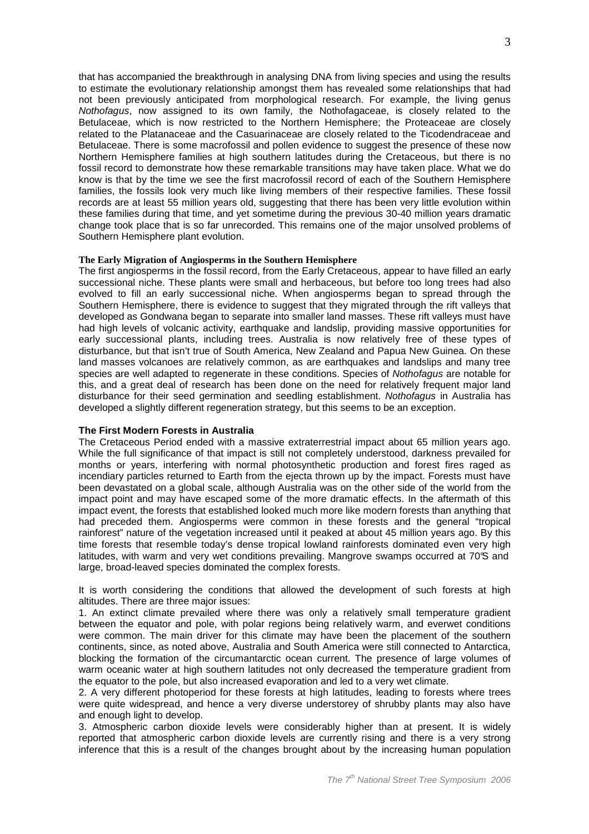that has accompanied the breakthrough in analysing DNA from living species and using the results to estimate the evolutionary relationship amongst them has revealed some relationships that had not been previously anticipated from morphological research. For example, the living genus Nothofagus, now assigned to its own family, the Nothofagaceae, is closely related to the Betulaceae, which is now restricted to the Northern Hemisphere; the Proteaceae are closely related to the Platanaceae and the Casuarinaceae are closely related to the Ticodendraceae and Betulaceae. There is some macrofossil and pollen evidence to suggest the presence of these now Northern Hemisphere families at high southern latitudes during the Cretaceous, but there is no fossil record to demonstrate how these remarkable transitions may have taken place. What we do know is that by the time we see the first macrofossil record of each of the Southern Hemisphere families, the fossils look very much like living members of their respective families. These fossil records are at least 55 million years old, suggesting that there has been very little evolution within these families during that time, and yet sometime during the previous 30-40 million years dramatic change took place that is so far unrecorded. This remains one of the major unsolved problems of Southern Hemisphere plant evolution.

#### **The Early Migration of Angiosperms in the Southern Hemisphere**

The first angiosperms in the fossil record, from the Early Cretaceous, appear to have filled an early successional niche. These plants were small and herbaceous, but before too long trees had also evolved to fill an early successional niche. When angiosperms began to spread through the Southern Hemisphere, there is evidence to suggest that they migrated through the rift valleys that developed as Gondwana began to separate into smaller land masses. These rift valleys must have had high levels of volcanic activity, earthquake and landslip, providing massive opportunities for early successional plants, including trees. Australia is now relatively free of these types of disturbance, but that isn't true of South America, New Zealand and Papua New Guinea. On these land masses volcanoes are relatively common, as are earthquakes and landslips and many tree species are well adapted to regenerate in these conditions. Species of Nothofagus are notable for this, and a great deal of research has been done on the need for relatively frequent major land disturbance for their seed germination and seedling establishment. Nothofagus in Australia has developed a slightly different regeneration strategy, but this seems to be an exception.

#### **The First Modern Forests in Australia**

The Cretaceous Period ended with a massive extraterrestrial impact about 65 million years ago. While the full significance of that impact is still not completely understood, darkness prevailed for months or years, interfering with normal photosynthetic production and forest fires raged as incendiary particles returned to Earth from the ejecta thrown up by the impact. Forests must have been devastated on a global scale, although Australia was on the other side of the world from the impact point and may have escaped some of the more dramatic effects. In the aftermath of this impact event, the forests that established looked much more like modern forests than anything that had preceded them. Angiosperms were common in these forests and the general "tropical rainforest" nature of the vegetation increased until it peaked at about 45 million years ago. By this time forests that resemble today's dense tropical lowland rainforests dominated even very high latitudes, with warm and very wet conditions prevailing. Mangrove swamps occurred at 70°S and large, broad-leaved species dominated the complex forests.

It is worth considering the conditions that allowed the development of such forests at high altitudes. There are three major issues:

1. An extinct climate prevailed where there was only a relatively small temperature gradient between the equator and pole, with polar regions being relatively warm, and everwet conditions were common. The main driver for this climate may have been the placement of the southern continents, since, as noted above, Australia and South America were still connected to Antarctica, blocking the formation of the circumantarctic ocean current. The presence of large volumes of warm oceanic water at high southern latitudes not only decreased the temperature gradient from the equator to the pole, but also increased evaporation and led to a very wet climate.

2. A very different photoperiod for these forests at high latitudes, leading to forests where trees were quite widespread, and hence a very diverse understorey of shrubby plants may also have and enough light to develop.

3. Atmospheric carbon dioxide levels were considerably higher than at present. It is widely reported that atmospheric carbon dioxide levels are currently rising and there is a very strong inference that this is a result of the changes brought about by the increasing human population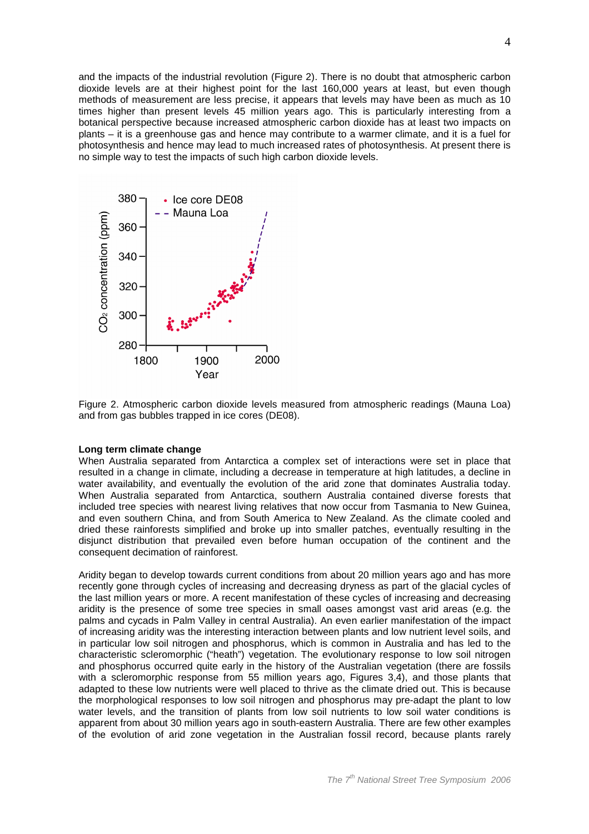and the impacts of the industrial revolution (Figure 2). There is no doubt that atmospheric carbon dioxide levels are at their highest point for the last 160,000 years at least, but even though methods of measurement are less precise, it appears that levels may have been as much as 10 times higher than present levels 45 million years ago. This is particularly interesting from a botanical perspective because increased atmospheric carbon dioxide has at least two impacts on plants – it is a greenhouse gas and hence may contribute to a warmer climate, and it is a fuel for photosynthesis and hence may lead to much increased rates of photosynthesis. At present there is no simple way to test the impacts of such high carbon dioxide levels.



Figure 2. Atmospheric carbon dioxide levels measured from atmospheric readings (Mauna Loa) and from gas bubbles trapped in ice cores (DE08).

#### **Long term climate change**

When Australia separated from Antarctica a complex set of interactions were set in place that resulted in a change in climate, including a decrease in temperature at high latitudes, a decline in water availability, and eventually the evolution of the arid zone that dominates Australia today. When Australia separated from Antarctica, southern Australia contained diverse forests that included tree species with nearest living relatives that now occur from Tasmania to New Guinea, and even southern China, and from South America to New Zealand. As the climate cooled and dried these rainforests simplified and broke up into smaller patches, eventually resulting in the disjunct distribution that prevailed even before human occupation of the continent and the consequent decimation of rainforest.

Aridity began to develop towards current conditions from about 20 million years ago and has more recently gone through cycles of increasing and decreasing dryness as part of the glacial cycles of the last million years or more. A recent manifestation of these cycles of increasing and decreasing aridity is the presence of some tree species in small oases amongst vast arid areas (e.g. the palms and cycads in Palm Valley in central Australia). An even earlier manifestation of the impact of increasing aridity was the interesting interaction between plants and low nutrient level soils, and in particular low soil nitrogen and phosphorus, which is common in Australia and has led to the characteristic scleromorphic ("heath") vegetation. The evolutionary response to low soil nitrogen and phosphorus occurred quite early in the history of the Australian vegetation (there are fossils with a scleromorphic response from 55 million years ago, Figures 3,4), and those plants that adapted to these low nutrients were well placed to thrive as the climate dried out. This is because the morphological responses to low soil nitrogen and phosphorus may pre-adapt the plant to low water levels, and the transition of plants from low soil nutrients to low soil water conditions is apparent from about 30 million years ago in south-eastern Australia. There are few other examples of the evolution of arid zone vegetation in the Australian fossil record, because plants rarely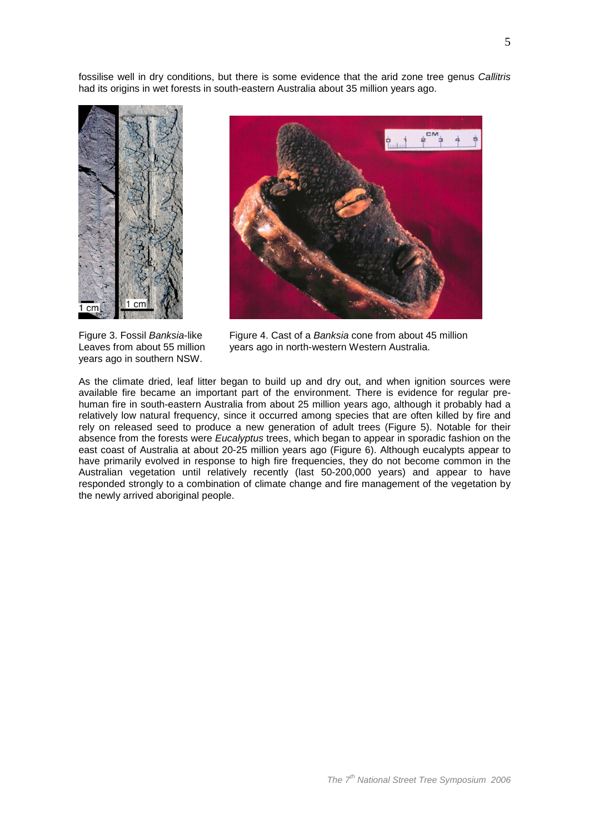fossilise well in dry conditions, but there is some evidence that the arid zone tree genus Callitris had its origins in wet forests in south-eastern Australia about 35 million years ago.



years ago in southern NSW.



Figure 3. Fossil Banksia-like Figure 4. Cast of a Banksia cone from about 45 million Leaves from about 55 million years ago in north-western Western Australia.

As the climate dried, leaf litter began to build up and dry out, and when ignition sources were available fire became an important part of the environment. There is evidence for regular prehuman fire in south-eastern Australia from about 25 million years ago, although it probably had a relatively low natural frequency, since it occurred among species that are often killed by fire and rely on released seed to produce a new generation of adult trees (Figure 5). Notable for their absence from the forests were Eucalyptus trees, which began to appear in sporadic fashion on the east coast of Australia at about 20-25 million years ago (Figure 6). Although eucalypts appear to have primarily evolved in response to high fire frequencies, they do not become common in the Australian vegetation until relatively recently (last 50-200,000 years) and appear to have responded strongly to a combination of climate change and fire management of the vegetation by the newly arrived aboriginal people.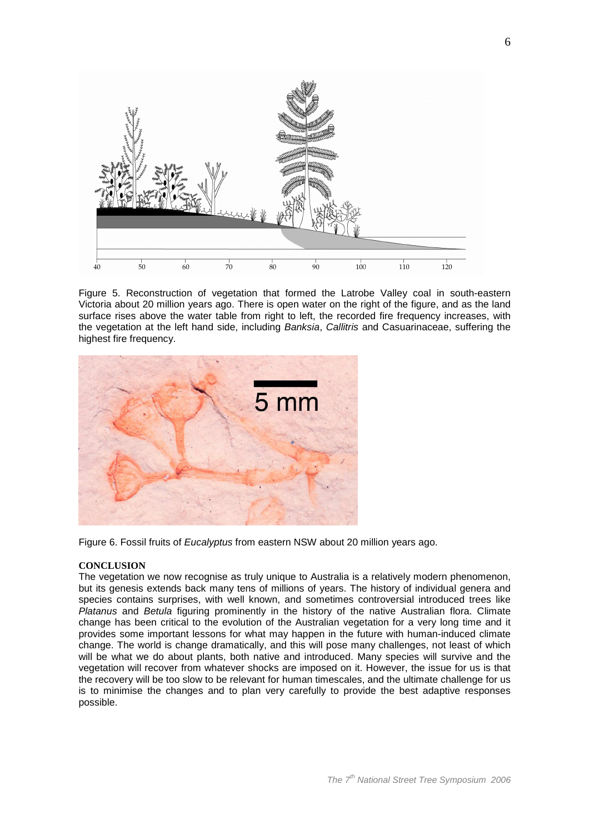

Figure 5. Reconstruction of vegetation that formed the Latrobe Valley coal in south-eastern Victoria about 20 million years ago. There is open water on the right of the figure, and as the land surface rises above the water table from right to left, the recorded fire frequency increases, with the vegetation at the left hand side, including Banksia, Callitris and Casuarinaceae, suffering the highest fire frequency.



Figure 6. Fossil fruits of Eucalyptus from eastern NSW about 20 million years ago.

#### **CONCLUSION**

The vegetation we now recognise as truly unique to Australia is a relatively modern phenomenon, but its genesis extends back many tens of millions of years. The history of individual genera and species contains surprises, with well known, and sometimes controversial introduced trees like Platanus and Betula figuring prominently in the history of the native Australian flora. Climate change has been critical to the evolution of the Australian vegetation for a very long time and it provides some important lessons for what may happen in the future with human-induced climate change. The world is change dramatically, and this will pose many challenges, not least of which will be what we do about plants, both native and introduced. Many species will survive and the vegetation will recover from whatever shocks are imposed on it. However, the issue for us is that the recovery will be too slow to be relevant for human timescales, and the ultimate challenge for us is to minimise the changes and to plan very carefully to provide the best adaptive responses possible.